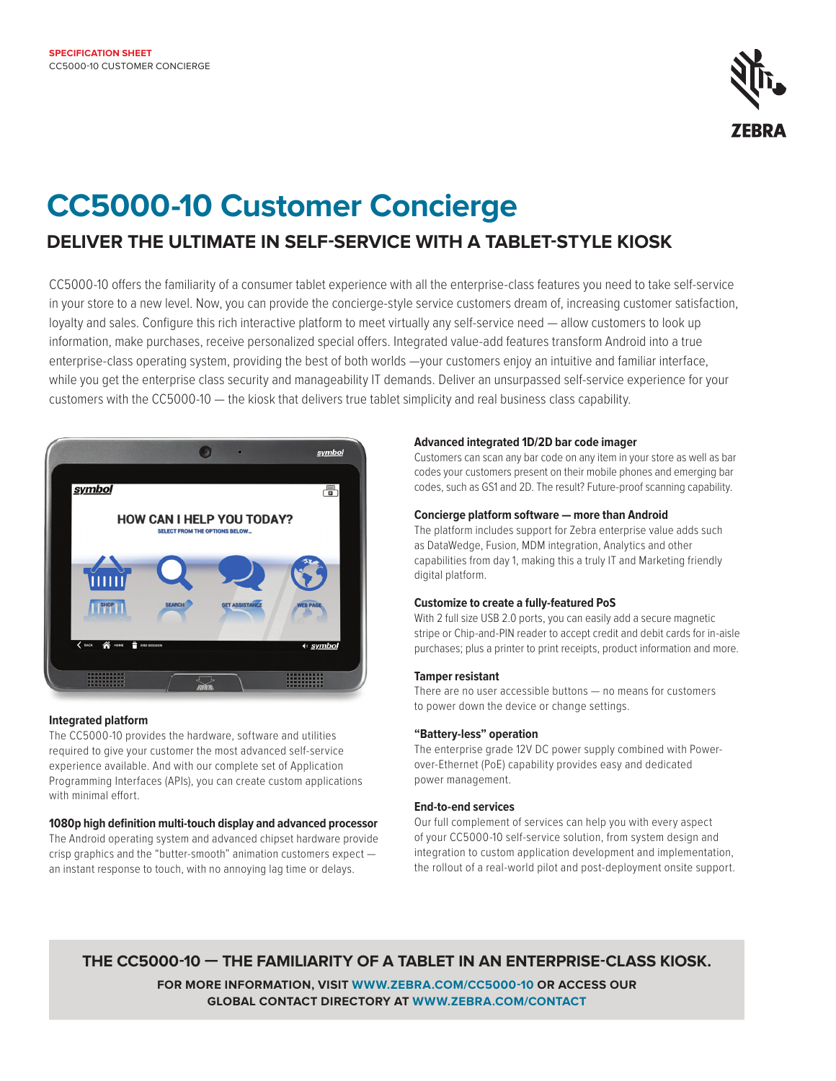

# **CC5000-10 Customer Concierge**

## **DELIVER THE ULTIMATE IN SELF-SERVICE WITH A TABLET-STYLE KIOSK**

CC5000-10 offers the familiarity of a consumer tablet experience with all the enterprise-class features you need to take self-service in your store to a new level. Now, you can provide the concierge-style service customers dream of, increasing customer satisfaction, loyalty and sales. Configure this rich interactive platform to meet virtually any self-service need — allow customers to look up information, make purchases, receive personalized special offers. Integrated value-add features transform Android into a true enterprise-class operating system, providing the best of both worlds —your customers enjoy an intuitive and familiar interface, while you get the enterprise class security and manageability IT demands. Deliver an unsurpassed self-service experience for your customers with the CC5000-10 — the kiosk that delivers true tablet simplicity and real business class capability.



#### **Integrated platform**

The CC5000-10 provides the hardware, software and utilities required to give your customer the most advanced self-service experience available. And with our complete set of Application Programming Interfaces (APIs), you can create custom applications with minimal effort.

#### **1080p high definition multi-touch display and advanced processor**

The Android operating system and advanced chipset hardware provide crisp graphics and the "butter-smooth" animation customers expect an instant response to touch, with no annoying lag time or delays.

#### **Advanced integrated 1D/2D bar code imager**

Customers can scan any bar code on any item in your store as well as bar codes your customers present on their mobile phones and emerging bar codes, such as GS1 and 2D. The result? Future-proof scanning capability.

#### **Concierge platform software — more than Android**

The platform includes support for Zebra enterprise value adds such as DataWedge, Fusion, MDM integration, Analytics and other capabilities from day 1, making this a truly IT and Marketing friendly digital platform.

#### **Customize to create a fully-featured PoS**

With 2 full size USB 2.0 ports, you can easily add a secure magnetic stripe or Chip-and-PIN reader to accept credit and debit cards for in-aisle purchases; plus a printer to print receipts, product information and more.

#### **Tamper resistant**

There are no user accessible buttons — no means for customers to power down the device or change settings.

#### **"Battery-less" operation**

The enterprise grade 12V DC power supply combined with Powerover-Ethernet (PoE) capability provides easy and dedicated power management.

#### **End-to-end services**

Our full complement of services can help you with every aspect of your CC5000-10 self-service solution, from system design and integration to custom application development and implementation, the rollout of a real-world pilot and post-deployment onsite support.

### **THE CC5000-10 — THE FAMILIARITY OF A TABLET IN AN ENTERPRISE-CLASS KIOSK.**

**FOR MORE INFORMATION, VISIT [WWW.ZEBRA.COM/C](http://www.Zebra.com/mc40)C5000-10 OR ACCESS OUR GLOBAL CONTACT DIRECTORY AT [WWW.ZEBRA.COM/CONTACT](http://www.zebra.com/contact)**